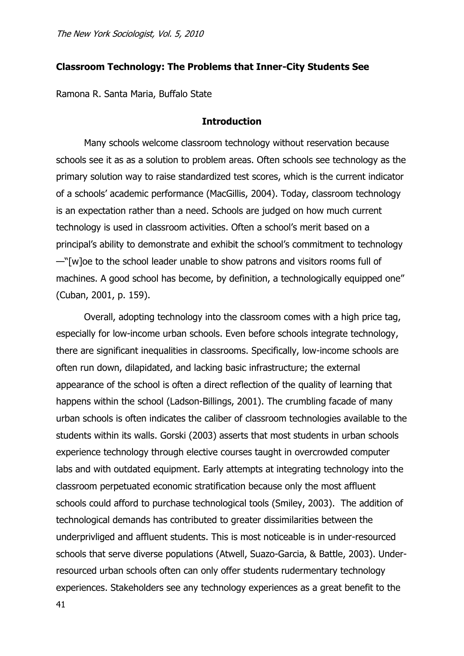# **Classroom Technology: The Problems that Inner-City Students See**

Ramona R. Santa Maria, Buffalo State

### **Introduction**

Many schools welcome classroom technology without reservation because schools see it as as a solution to problem areas. Often schools see technology as the primary solution way to raise standardized test scores, which is the current indicator of a schools' academic performance (MacGillis, 2004). Today, classroom technology is an expectation rather than a need. Schools are judged on how much current technology is used in classroom activities. Often a school's merit based on a principal's ability to demonstrate and exhibit the school's commitment to technology  $-\sqrt{\sqrt{w}}$  oe to the school leader unable to show patrons and visitors rooms full of machines. A good school has become, by definition, a technologically equipped one" (Cuban, 2001, p. 159).

Overall, adopting technology into the classroom comes with a high price tag, especially for low-income urban schools. Even before schools integrate technology, there are significant inequalities in classrooms. Specifically, low-income schools are often run down, dilapidated, and lacking basic infrastructure; the external appearance of the school is often a direct reflection of the quality of learning that happens within the school (Ladson-Billings, 2001). The crumbling facade of many urban schools is often indicates the caliber of classroom technologies available to the students within its walls. Gorski (2003) asserts that most students in urban schools experience technology through elective courses taught in overcrowded computer labs and with outdated equipment. Early attempts at integrating technology into the classroom perpetuated economic stratification because only the most affluent schools could afford to purchase technological tools (Smiley, 2003). The addition of technological demands has contributed to greater dissimilarities between the underprivliged and affluent students. This is most noticeable is in under-resourced schools that serve diverse populations (Atwell, Suazo-Garcia, & Battle, 2003). Underresourced urban schools often can only offer students rudermentary technology experiences. Stakeholders see any technology experiences as a great benefit to the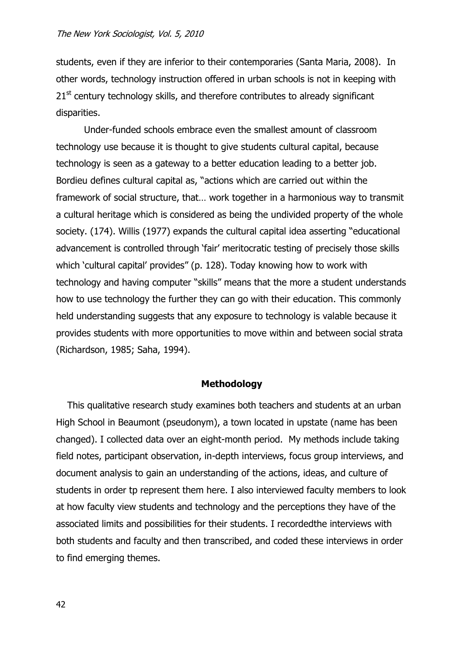students, even if they are inferior to their contemporaries (Santa Maria, 2008). In other words, technology instruction offered in urban schools is not in keeping with  $21<sup>st</sup>$  century technology skills, and therefore contributes to already significant disparities.

Under-funded schools embrace even the smallest amount of classroom technology use because it is thought to give students cultural capital, because technology is seen as a gateway to a better education leading to a better job. Bordieu defines cultural capital as, "actions which are carried out within the framework of social structure, that… work together in a harmonious way to transmit a cultural heritage which is considered as being the undivided property of the whole society. (174). Willis (1977) expands the cultural capital idea asserting "educational advancement is controlled through 'fair' meritocratic testing of precisely those skills which 'cultural capital' provides" (p. 128). Today knowing how to work with technology and having computer "skills" means that the more a student understands how to use technology the further they can go with their education. This commonly held understanding suggests that any exposure to technology is valable because it provides students with more opportunities to move within and between social strata (Richardson, 1985; Saha, 1994).

#### **Methodology**

This qualitative research study examines both teachers and students at an urban High School in Beaumont (pseudonym), a town located in upstate (name has been changed). I collected data over an eight-month period. My methods include taking field notes, participant observation, in-depth interviews, focus group interviews, and document analysis to gain an understanding of the actions, ideas, and culture of students in order tp represent them here. I also interviewed faculty members to look at how faculty view students and technology and the perceptions they have of the associated limits and possibilities for their students. I recordedthe interviews with both students and faculty and then transcribed, and coded these interviews in order to find emerging themes.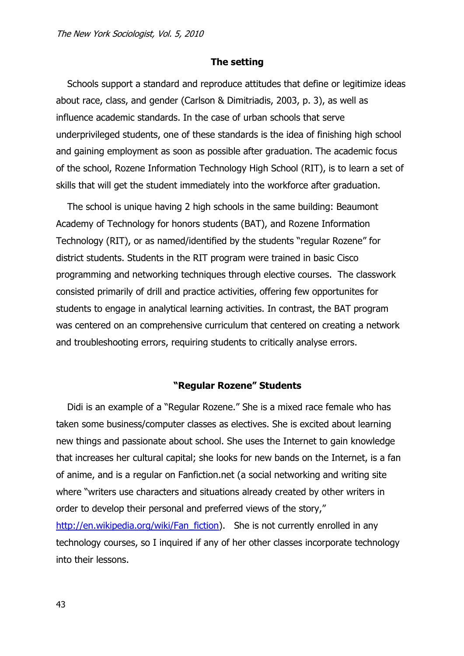## **The setting**

Schools support a standard and reproduce attitudes that define or legitimize ideas about race, class, and gender (Carlson & Dimitriadis, 2003, p. 3), as well as influence academic standards. In the case of urban schools that serve underprivileged students, one of these standards is the idea of finishing high school and gaining employment as soon as possible after graduation. The academic focus of the school, Rozene Information Technology High School (RIT), is to learn a set of skills that will get the student immediately into the workforce after graduation.

The school is unique having 2 high schools in the same building: Beaumont Academy of Technology for honors students (BAT), and Rozene Information Technology (RIT), or as named/identified by the students "regular Rozene" for district students. Students in the RIT program were trained in basic Cisco programming and networking techniques through elective courses. The classwork consisted primarily of drill and practice activities, offering few opportunites for students to engage in analytical learning activities. In contrast, the BAT program was centered on an comprehensive curriculum that centered on creating a network and troubleshooting errors, requiring students to critically analyse errors.

### **"Regular Rozene" Students**

Didi is an example of a "Regular Rozene." She is a mixed race female who has taken some business/computer classes as electives. She is excited about learning new things and passionate about school. She uses the Internet to gain knowledge that increases her cultural capital; she looks for new bands on the Internet, is a fan of anime, and is a regular on Fanfiction.net (a social networking and writing site where "writers use characters and situations already created by other writers in order to develop their personal and preferred views of the story," [http://en.wikipedia.org/wiki/Fan\\_fiction\)](http://en.wikipedia.org/wiki/Fan_fiction). She is not currently enrolled in any technology courses, so I inquired if any of her other classes incorporate technology into their lessons.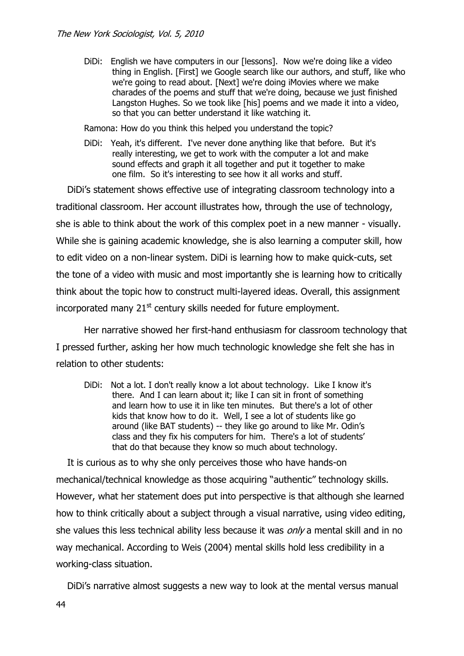DiDi: English we have computers in our [lessons]. Now we're doing like a video thing in English. [First] we Google search like our authors, and stuff, like who we're going to read about. [Next] we're doing iMovies where we make charades of the poems and stuff that we're doing, because we just finished Langston Hughes. So we took like [his] poems and we made it into a video, so that you can better understand it like watching it.

Ramona: How do you think this helped you understand the topic?

DiDi: Yeah, it's different. I've never done anything like that before. But it's really interesting, we get to work with the computer a lot and make sound effects and graph it all together and put it together to make one film. So it's interesting to see how it all works and stuff.

DiDi's statement shows effective use of integrating classroom technology into a traditional classroom. Her account illustrates how, through the use of technology, she is able to think about the work of this complex poet in a new manner - visually. While she is gaining academic knowledge, she is also learning a computer skill, how to edit video on a non-linear system. DiDi is learning how to make quick-cuts, set the tone of a video with music and most importantly she is learning how to critically think about the topic how to construct multi-layered ideas. Overall, this assignment incorporated many  $21<sup>st</sup>$  century skills needed for future employment.

Her narrative showed her first-hand enthusiasm for classroom technology that I pressed further, asking her how much technologic knowledge she felt she has in relation to other students:

DiDi: Not a lot. I don't really know a lot about technology. Like I know it's there. And I can learn about it; like I can sit in front of something and learn how to use it in like ten minutes. But there's a lot of other kids that know how to do it. Well, I see a lot of students like go around (like BAT students) -- they like go around to like Mr. Odin's class and they fix his computers for him. There's a lot of students' that do that because they know so much about technology.

It is curious as to why she only perceives those who have hands-on mechanical/technical knowledge as those acquiring "authentic" technology skills. However, what her statement does put into perspective is that although she learned how to think critically about a subject through a visual narrative, using video editing, she values this less technical ability less because it was *only* a mental skill and in no way mechanical. According to Weis (2004) mental skills hold less credibility in a working-class situation.

DiDi's narrative almost suggests a new way to look at the mental versus manual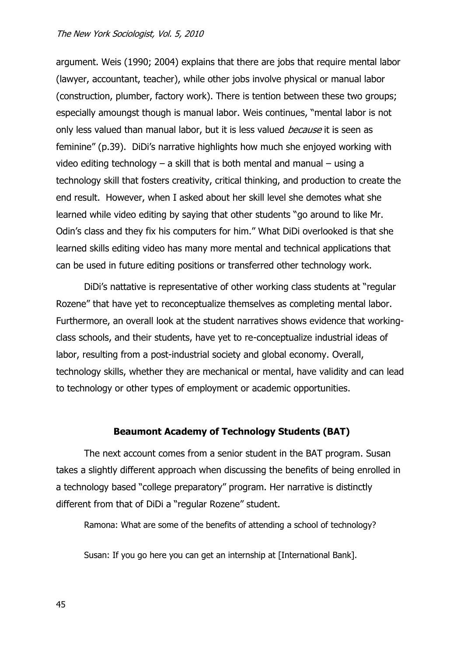#### The New York Sociologist, Vol. 5, 2010

argument. Weis (1990; 2004) explains that there are jobs that require mental labor (lawyer, accountant, teacher), while other jobs involve physical or manual labor (construction, plumber, factory work). There is tention between these two groups; especially amoungst though is manual labor. Weis continues, "mental labor is not only less valued than manual labor, but it is less valued *because* it is seen as feminine" (p.39). DiDi's narrative highlights how much she enjoyed working with video editing technology  $-$  a skill that is both mental and manual  $-$  using a technology skill that fosters creativity, critical thinking, and production to create the end result. However, when I asked about her skill level she demotes what she learned while video editing by saying that other students "go around to like Mr. Odin's class and they fix his computers for him." What DiDi overlooked is that she learned skills editing video has many more mental and technical applications that can be used in future editing positions or transferred other technology work.

DiDi's nattative is representative of other working class students at "regular Rozene" that have yet to reconceptualize themselves as completing mental labor. Furthermore, an overall look at the student narratives shows evidence that workingclass schools, and their students, have yet to re-conceptualize industrial ideas of labor, resulting from a post-industrial society and global economy. Overall, technology skills, whether they are mechanical or mental, have validity and can lead to technology or other types of employment or academic opportunities.

## **Beaumont Academy of Technology Students (BAT)**

The next account comes from a senior student in the BAT program. Susan takes a slightly different approach when discussing the benefits of being enrolled in a technology based "college preparatory" program. Her narrative is distinctly different from that of DiDi a "regular Rozene" student.

Ramona: What are some of the benefits of attending a school of technology?

Susan: If you go here you can get an internship at [International Bank].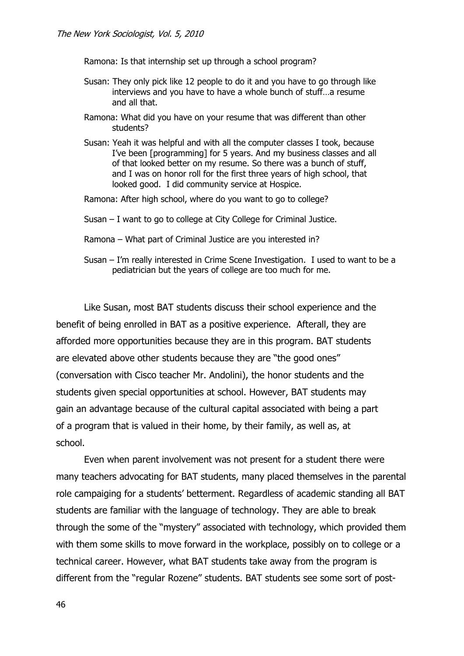Ramona: Is that internship set up through a school program?

- Susan: They only pick like 12 people to do it and you have to go through like interviews and you have to have a whole bunch of stuff…a resume and all that.
- Ramona: What did you have on your resume that was different than other students?
- Susan: Yeah it was helpful and with all the computer classes I took, because I've been [programming] for 5 years. And my business classes and all of that looked better on my resume. So there was a bunch of stuff, and I was on honor roll for the first three years of high school, that looked good. I did community service at Hospice.
- Ramona: After high school, where do you want to go to college?
- Susan I want to go to college at City College for Criminal Justice.
- Ramona What part of Criminal Justice are you interested in?
- Susan I'm really interested in Crime Scene Investigation. I used to want to be a pediatrician but the years of college are too much for me.

Like Susan, most BAT students discuss their school experience and the benefit of being enrolled in BAT as a positive experience. Afterall, they are afforded more opportunities because they are in this program. BAT students are elevated above other students because they are "the good ones" (conversation with Cisco teacher Mr. Andolini), the honor students and the students given special opportunities at school. However, BAT students may gain an advantage because of the cultural capital associated with being a part of a program that is valued in their home, by their family, as well as, at school.

Even when parent involvement was not present for a student there were many teachers advocating for BAT students, many placed themselves in the parental role campaiging for a students' betterment. Regardless of academic standing all BAT students are familiar with the language of technology. They are able to break through the some of the "mystery" associated with technology, which provided them with them some skills to move forward in the workplace, possibly on to college or a technical career. However, what BAT students take away from the program is different from the "regular Rozene" students. BAT students see some sort of post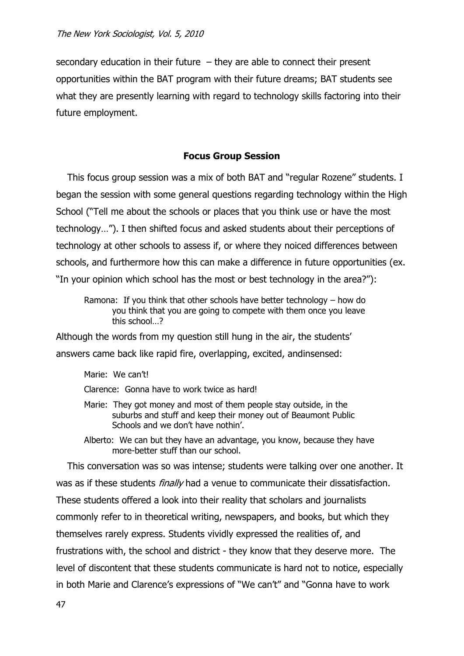secondary education in their future  $-$  they are able to connect their present opportunities within the BAT program with their future dreams; BAT students see what they are presently learning with regard to technology skills factoring into their future employment.

# **Focus Group Session**

This focus group session was a mix of both BAT and "regular Rozene" students. I began the session with some general questions regarding technology within the High School ("Tell me about the schools or places that you think use or have the most technology…‖). I then shifted focus and asked students about their perceptions of technology at other schools to assess if, or where they noiced differences between schools, and furthermore how this can make a difference in future opportunities (ex. "In your opinion which school has the most or best technology in the area?"):

Ramona: If you think that other schools have better technology – how do you think that you are going to compete with them once you leave this school…?

Although the words from my question still hung in the air, the students' answers came back like rapid fire, overlapping, excited, andinsensed:

Marie: We can't!

Clarence: Gonna have to work twice as hard!

Marie: They got money and most of them people stay outside, in the suburbs and stuff and keep their money out of Beaumont Public Schools and we don't have nothin'.

Alberto: We can but they have an advantage, you know, because they have more-better stuff than our school.

This conversation was so was intense; students were talking over one another. It was as if these students *finally* had a venue to communicate their dissatisfaction. These students offered a look into their reality that scholars and journalists commonly refer to in theoretical writing, newspapers, and books, but which they themselves rarely express. Students vividly expressed the realities of, and frustrations with, the school and district - they know that they deserve more. The level of discontent that these students communicate is hard not to notice, especially in both Marie and Clarence's expressions of "We can't" and "Gonna have to work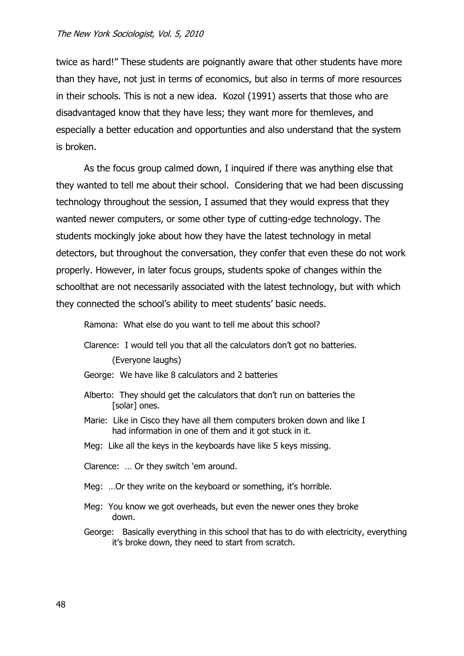#### The New York Sociologist, Vol. 5, 2010

twice as hard!" These students are poignantly aware that other students have more than they have, not just in terms of economics, but also in terms of more resources in their schools. This is not a new idea. Kozol (1991) asserts that those who are disadvantaged know that they have less; they want more for themleves, and especially a better education and opportunties and also understand that the system is broken.

As the focus group calmed down, I inquired if there was anything else that they wanted to tell me about their school. Considering that we had been discussing technology throughout the session, I assumed that they would express that they wanted newer computers, or some other type of cutting-edge technology. The students mockingly joke about how they have the latest technology in metal detectors, but throughout the conversation, they confer that even these do not work properly. However, in later focus groups, students spoke of changes within the schoolthat are not necessarily associated with the latest technology, but with which they connected the school's ability to meet students' basic needs.

Ramona: What else do you want to tell me about this school?

Clarence: I would tell you that all the calculators don't got no batteries.

(Everyone laughs)

- George: We have like 8 calculators and 2 batteries
- Alberto: They should get the calculators that don't run on batteries the [solar] ones.
- Marie: Like in Cisco they have all them computers broken down and like I had information in one of them and it got stuck in it.
- Meg: Like all the keys in the keyboards have like 5 keys missing.

Clarence: ... Or they switch 'em around.

- Meg: …Or they write on the keyboard or something, it's horrible.
- Meg: You know we got overheads, but even the newer ones they broke down.
- George: Basically everything in this school that has to do with electricity, everything it's broke down, they need to start from scratch.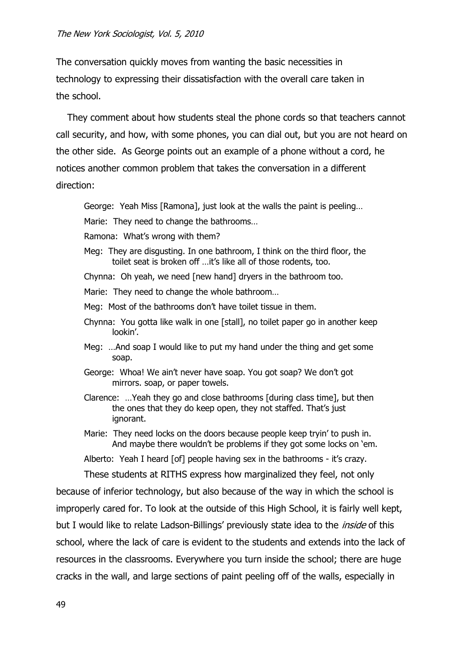The conversation quickly moves from wanting the basic necessities in technology to expressing their dissatisfaction with the overall care taken in the school.

They comment about how students steal the phone cords so that teachers cannot call security, and how, with some phones, you can dial out, but you are not heard on the other side. As George points out an example of a phone without a cord, he notices another common problem that takes the conversation in a different direction:

George: Yeah Miss [Ramona], just look at the walls the paint is peeling…

Marie: They need to change the bathrooms…

- Ramona: What's wrong with them?
- Meg: They are disgusting. In one bathroom, I think on the third floor, the toilet seat is broken off …it's like all of those rodents, too.
- Chynna: Oh yeah, we need [new hand] dryers in the bathroom too.
- Marie: They need to change the whole bathroom…
- Meg: Most of the bathrooms don't have toilet tissue in them.
- Chynna: You gotta like walk in one [stall], no toilet paper go in another keep lookin'.
- Meg: …And soap I would like to put my hand under the thing and get some soap.
- George: Whoa! We ain't never have soap. You got soap? We don't got mirrors. soap, or paper towels.
- Clarence: …Yeah they go and close bathrooms [during class time], but then the ones that they do keep open, they not staffed. That's just ignorant.
- Marie: They need locks on the doors because people keep tryin' to push in. And maybe there wouldn't be problems if they got some locks on 'em.
- Alberto: Yeah I heard [of] people having sex in the bathrooms it's crazy.

These students at RITHS express how marginalized they feel, not only

because of inferior technology, but also because of the way in which the school is improperly cared for. To look at the outside of this High School, it is fairly well kept, but I would like to relate Ladson-Billings' previously state idea to the *inside* of this school, where the lack of care is evident to the students and extends into the lack of resources in the classrooms. Everywhere you turn inside the school; there are huge cracks in the wall, and large sections of paint peeling off of the walls, especially in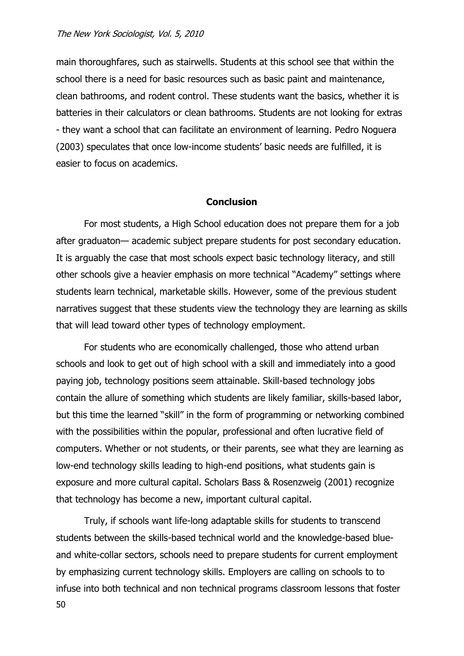#### The New York Sociologist, Vol. 5, 2010

main thoroughfares, such as stairwells. Students at this school see that within the school there is a need for basic resources such as basic paint and maintenance, clean bathrooms, and rodent control. These students want the basics, whether it is batteries in their calculators or clean bathrooms. Students are not looking for extras - they want a school that can facilitate an environment of learning. Pedro Noguera (2003) speculates that once low-income students' basic needs are fulfilled, it is easier to focus on academics.

## **Conclusion**

For most students, a High School education does not prepare them for a job after graduaton— academic subject prepare students for post secondary education. It is arguably the case that most schools expect basic technology literacy, and still other schools give a heavier emphasis on more technical "Academy" settings where students learn technical, marketable skills. However, some of the previous student narratives suggest that these students view the technology they are learning as skills that will lead toward other types of technology employment.

For students who are economically challenged, those who attend urban schools and look to get out of high school with a skill and immediately into a good paying job, technology positions seem attainable. Skill-based technology jobs contain the allure of something which students are likely familiar, skills-based labor, but this time the learned "skill" in the form of programming or networking combined with the possibilities within the popular, professional and often lucrative field of computers. Whether or not students, or their parents, see what they are learning as low-end technology skills leading to high-end positions, what students gain is exposure and more cultural capital. Scholars Bass & Rosenzweig (2001) recognize that technology has become a new, important cultural capital.

50 Truly, if schools want life-long adaptable skills for students to transcend students between the skills-based technical world and the knowledge-based blueand white-collar sectors, schools need to prepare students for current employment by emphasizing current technology skills. Employers are calling on schools to to infuse into both technical and non technical programs classroom lessons that foster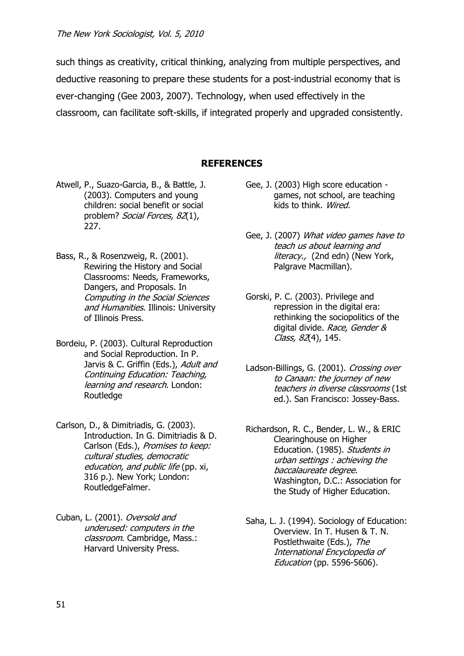such things as creativity, critical thinking, analyzing from multiple perspectives, and deductive reasoning to prepare these students for a post-industrial economy that is ever-changing (Gee 2003, 2007). Technology, when used effectively in the classroom, can facilitate soft-skills, if integrated properly and upgraded consistently.

# **REFERENCES**

- Atwell, P., Suazo-Garcia, B., & Battle, J. (2003). Computers and young children: social benefit or social problem? Social Forces, 82(1), 227.
- Bass, R., & Rosenzweig, R. (2001). Rewiring the History and Social Classrooms: Needs, Frameworks, Dangers, and Proposals. In Computing in the Social Sciences and Humanities. Illinois: University of Illinois Press.
- Bordeiu, P. (2003). Cultural Reproduction and Social Reproduction. In P. Jarvis & C. Griffin (Eds.), Adult and Continuing Education: Teaching, learning and research. London: Routledge
- Carlson, D., & Dimitriadis, G. (2003). Introduction. In G. Dimitriadis & D. Carlson (Eds.), Promises to keep: cultural studies, democratic education, and public life (pp. xi, 316 p.). New York; London: RoutledgeFalmer.
- Cuban, L. (2001). Oversold and underused: computers in the classroom. Cambridge, Mass.: Harvard University Press.
- Gee, J. (2003) High score education games, not school, are teaching kids to think. Wired.
- Gee, J. (2007) What video games have to teach us about learning and literacy., (2nd edn) (New York, Palgrave Macmillan).
- Gorski, P. C. (2003). Privilege and repression in the digital era: rethinking the sociopolitics of the digital divide. Race, Gender & Class, 82(4), 145.
- Ladson-Billings, G. (2001). Crossing over to Canaan: the journey of new teachers in diverse classrooms (1st ed.). San Francisco: Jossey-Bass.
- Richardson, R. C., Bender, L. W., & ERIC Clearinghouse on Higher Education. (1985). Students in urban settings : achieving the baccalaureate degree. Washington, D.C.: Association for the Study of Higher Education.
- Saha, L. J. (1994). Sociology of Education: Overview. In T. Husen & T. N. Postlethwaite (Eds.), The International Encyclopedia of Education (pp. 5596-5606).